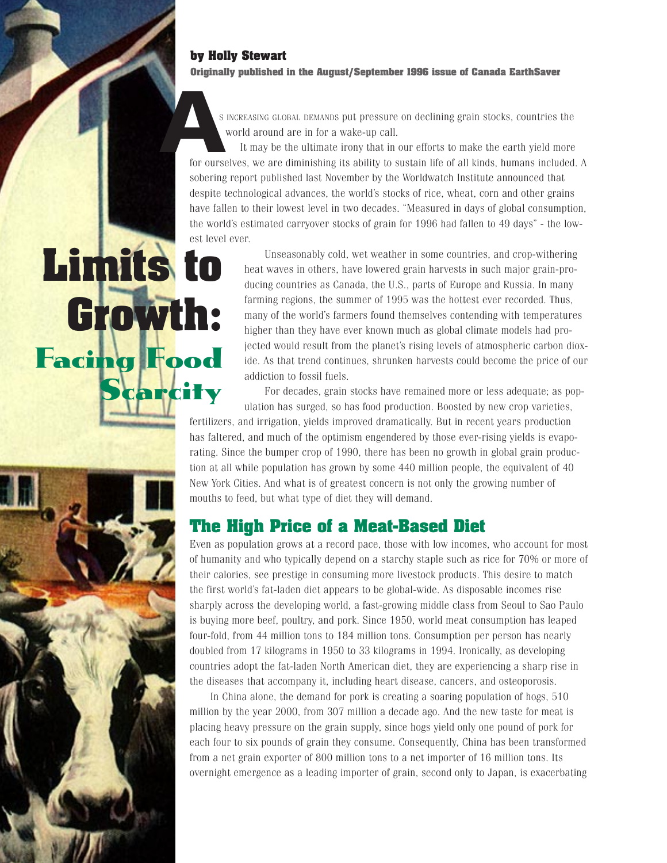#### **by Holly Stewart Originally published in the August/September 1996 issue of Canada EarthSaver**

S INCREASING GLOBAL DEMANDS put pressure on declining grain stocks, countries the world around are in for a wake-up call.

It may be the ultimate irony that in our efforts to make the earth yield more for ourselves, we are diminishing its ability to sustain life of all kinds, humans included. A sobering report published last November by the Worldwatch Institute announced that despite technological advances, the world's stocks of rice, wheat, corn and other grains have fallen to their lowest level in two decades. "Measured in days of global consumption, the world's estimated carryover stocks of grain for 1996 had fallen to 49 days" - the lowest level ever. **Limits to A**<br>
for ourse

Unseasonably cold, wet weather in some countries, and crop-withering heat waves in others, have lowered grain harvests in such major grain-producing countries as Canada, the U.S., parts of Europe and Russia. In many farming regions, the summer of 1995 was the hottest ever recorded. Thus, many of the world's farmers found themselves contending with temperatures higher than they have ever known much as global climate models had projected would result from the planet's rising levels of atmospheric carbon dioxide. As that trend continues, shrunken harvests could become the price of our addiction to fossil fuels.

For decades, grain stocks have remained more or less adequate; as population has surged, so has food production. Boosted by new crop varieties,

fertilizers, and irrigation, yields improved dramatically. But in recent years production has faltered, and much of the optimism engendered by those ever-rising yields is evaporating. Since the bumper crop of 1990, there has been no growth in global grain production at all while population has grown by some 440 million people, the equivalent of 40 New York Cities. And what is of greatest concern is not only the growing number of mouths to feed, but what type of diet they will demand.

### **The High Price of a Meat-Based Diet**

Even as population grows at a record pace, those with low incomes, who account for most of humanity and who typically depend on a starchy staple such as rice for 70% or more of their calories, see prestige in consuming more livestock products. This desire to match the first world's fat-laden diet appears to be global-wide. As disposable incomes rise sharply across the developing world, a fast-growing middle class from Seoul to Sao Paulo is buying more beef, poultry, and pork. Since 1950, world meat consumption has leaped four-fold, from 44 million tons to 184 million tons. Consumption per person has nearly doubled from 17 kilograms in 1950 to 33 kilograms in 1994. Ironically, as developing countries adopt the fat-laden North American diet, they are experiencing a sharp rise in the diseases that accompany it, including heart disease, cancers, and osteoporosis.

In China alone, the demand for pork is creating a soaring population of hogs, 510 million by the year 2000, from 307 million a decade ago. And the new taste for meat is placing heavy pressure on the grain supply, since hogs yield only one pound of pork for each four to six pounds of grain they consume. Consequently, China has been transformed from a net grain exporter of 800 million tons to a net importer of 16 million tons. Its overnight emergence as a leading importer of grain, second only to Japan, is exacerbating



**Growth:**

**Scarcity** 

Facing Food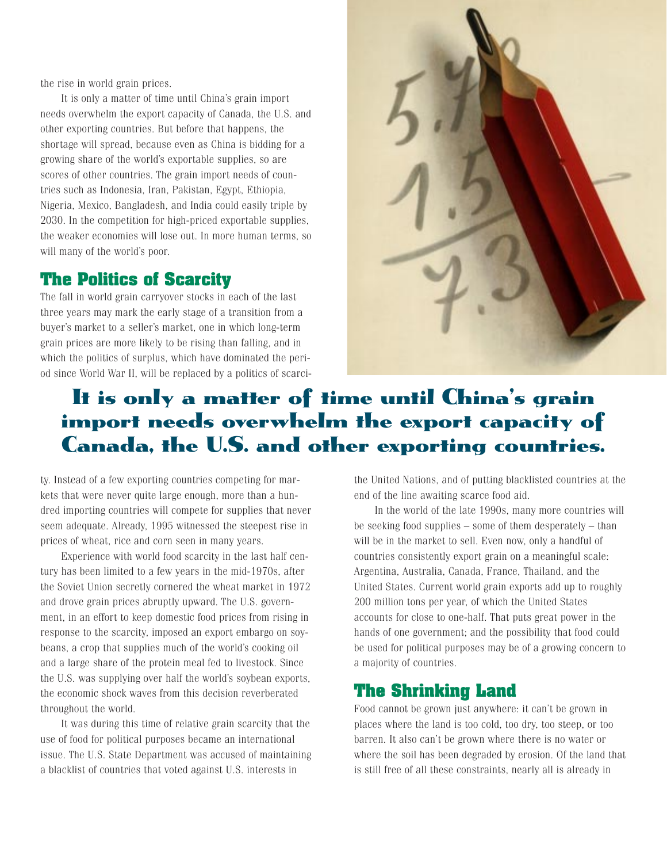the rise in world grain prices.

It is only a matter of time until China's grain import needs overwhelm the export capacity of Canada, the U.S. and other exporting countries. But before that happens, the shortage will spread, because even as China is bidding for a growing share of the world's exportable supplies, so are scores of other countries. The grain import needs of countries such as Indonesia, Iran, Pakistan, Egypt, Ethiopia, Nigeria, Mexico, Bangladesh, and India could easily triple by 2030. In the competition for high-priced exportable supplies, the weaker economies will lose out. In more human terms, so will many of the world's poor.

### **The Politics of Scarcity**

The fall in world grain carryover stocks in each of the last three years may mark the early stage of a transition from a buyer's market to a seller's market, one in which long-term grain prices are more likely to be rising than falling, and in which the politics of surplus, which have dominated the period since World War II, will be replaced by a politics of scarci-



## It is only a matter of time until China's grain import needs overwhelm the export capacity of Canada, the U.S. and other exporting countries.

ty. Instead of a few exporting countries competing for markets that were never quite large enough, more than a hundred importing countries will compete for supplies that never seem adequate. Already, 1995 witnessed the steepest rise in prices of wheat, rice and corn seen in many years.

Experience with world food scarcity in the last half century has been limited to a few years in the mid-1970s, after the Soviet Union secretly cornered the wheat market in 1972 and drove grain prices abruptly upward. The U.S. government, in an effort to keep domestic food prices from rising in response to the scarcity, imposed an export embargo on soybeans, a crop that supplies much of the world's cooking oil and a large share of the protein meal fed to livestock. Since the U.S. was supplying over half the world's soybean exports, the economic shock waves from this decision reverberated throughout the world.

It was during this time of relative grain scarcity that the use of food for political purposes became an international issue. The U.S. State Department was accused of maintaining a blacklist of countries that voted against U.S. interests in

the United Nations, and of putting blacklisted countries at the end of the line awaiting scarce food aid.

In the world of the late 1990s, many more countries will be seeking food supplies – some of them desperately – than will be in the market to sell. Even now, only a handful of countries consistently export grain on a meaningful scale: Argentina, Australia, Canada, France, Thailand, and the United States. Current world grain exports add up to roughly 200 million tons per year, of which the United States accounts for close to one-half. That puts great power in the hands of one government; and the possibility that food could be used for political purposes may be of a growing concern to a majority of countries.

### **The Shrinking Land**

Food cannot be grown just anywhere: it can't be grown in places where the land is too cold, too dry, too steep, or too barren. It also can't be grown where there is no water or where the soil has been degraded by erosion. Of the land that is still free of all these constraints, nearly all is already in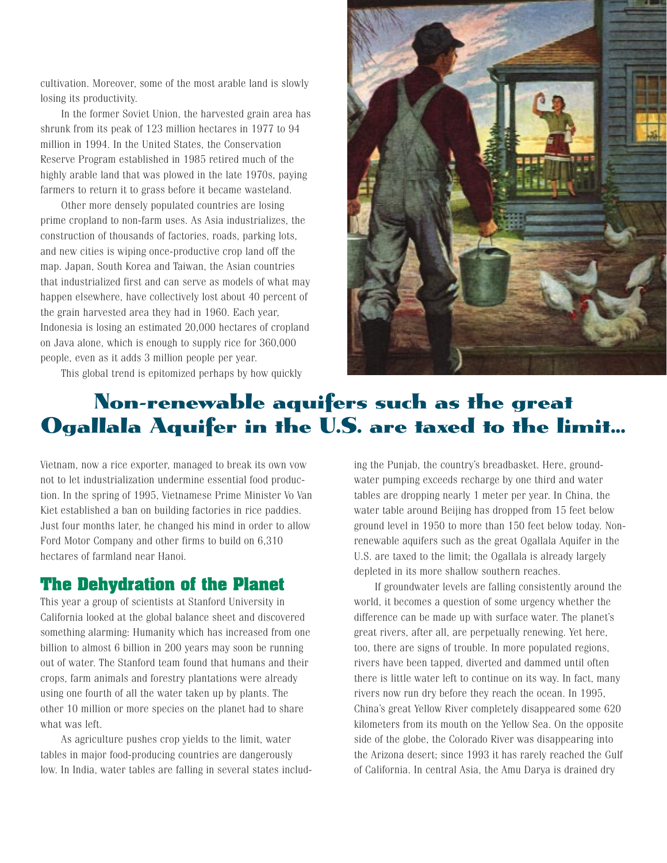cultivation. Moreover, some of the most arable land is slowly losing its productivity.

In the former Soviet Union, the harvested grain area has shrunk from its peak of 123 million hectares in 1977 to 94 million in 1994. In the United States, the Conservation Reserve Program established in 1985 retired much of the highly arable land that was plowed in the late 1970s, paying farmers to return it to grass before it became wasteland.

Other more densely populated countries are losing prime cropland to non-farm uses. As Asia industrializes, the construction of thousands of factories, roads, parking lots, and new cities is wiping once-productive crop land off the map. Japan, South Korea and Taiwan, the Asian countries that industrialized first and can serve as models of what may happen elsewhere, have collectively lost about 40 percent of the grain harvested area they had in 1960. Each year, Indonesia is losing an estimated 20,000 hectares of cropland on Java alone, which is enough to supply rice for 360,000 people, even as it adds 3 million people per year.

This global trend is epitomized perhaps by how quickly



# Non-renewable aquifers such as the great Ogallala Aquifer in the U.S. are taxed to the limit...

Vietnam, now a rice exporter, managed to break its own vow not to let industrialization undermine essential food production. In the spring of 1995, Vietnamese Prime Minister Vo Van Kiet established a ban on building factories in rice paddies. Just four months later, he changed his mind in order to allow Ford Motor Company and other firms to build on 6,310 hectares of farmland near Hanoi.

### **The Dehydration of the Planet**

This year a group of scientists at Stanford University in California looked at the global balance sheet and discovered something alarming: Humanity which has increased from one billion to almost 6 billion in 200 years may soon be running out of water. The Stanford team found that humans and their crops, farm animals and forestry plantations were already using one fourth of all the water taken up by plants. The other 10 million or more species on the planet had to share what was left.

As agriculture pushes crop yields to the limit, water tables in major food-producing countries are dangerously low. In India, water tables are falling in several states including the Punjab, the country's breadbasket. Here, groundwater pumping exceeds recharge by one third and water tables are dropping nearly 1 meter per year. In China, the water table around Beijing has dropped from 15 feet below ground level in 1950 to more than 150 feet below today. Nonrenewable aquifers such as the great Ogallala Aquifer in the U.S. are taxed to the limit; the Ogallala is already largely depleted in its more shallow southern reaches.

If groundwater levels are falling consistently around the world, it becomes a question of some urgency whether the difference can be made up with surface water. The planet's great rivers, after all, are perpetually renewing. Yet here, too, there are signs of trouble. In more populated regions, rivers have been tapped, diverted and dammed until often there is little water left to continue on its way. In fact, many rivers now run dry before they reach the ocean. In 1995, China's great Yellow River completely disappeared some 620 kilometers from its mouth on the Yellow Sea. On the opposite side of the globe, the Colorado River was disappearing into the Arizona desert; since 1993 it has rarely reached the Gulf of California. In central Asia, the Amu Darya is drained dry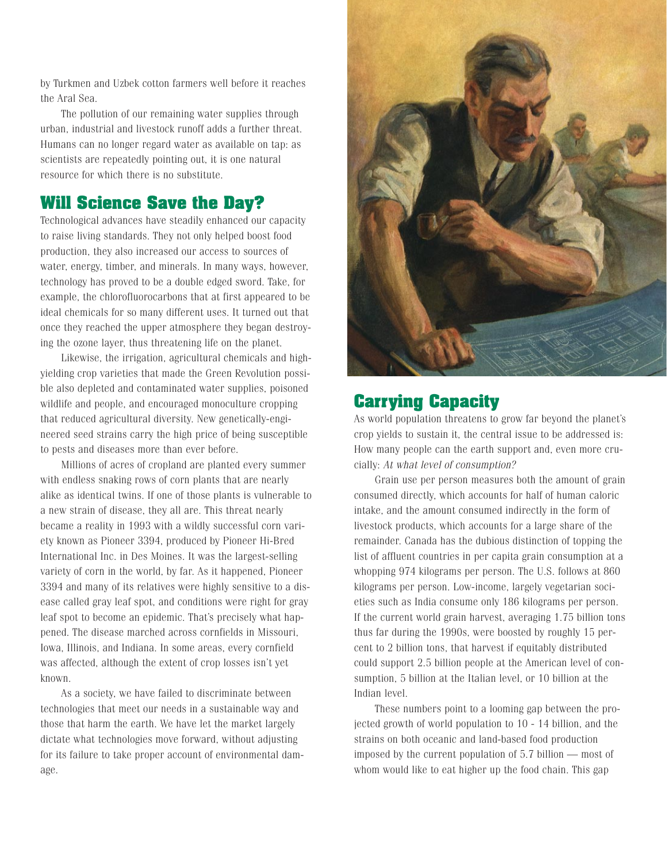by Turkmen and Uzbek cotton farmers well before it reaches the Aral Sea.

The pollution of our remaining water supplies through urban, industrial and livestock runoff adds a further threat. Humans can no longer regard water as available on tap: as scientists are repeatedly pointing out, it is one natural resource for which there is no substitute.

### **Will Science Save the Day?**

Technological advances have steadily enhanced our capacity to raise living standards. They not only helped boost food production, they also increased our access to sources of water, energy, timber, and minerals. In many ways, however, technology has proved to be a double edged sword. Take, for example, the chlorofluorocarbons that at first appeared to be ideal chemicals for so many different uses. It turned out that once they reached the upper atmosphere they began destroying the ozone layer, thus threatening life on the planet.

Likewise, the irrigation, agricultural chemicals and highyielding crop varieties that made the Green Revolution possible also depleted and contaminated water supplies, poisoned wildlife and people, and encouraged monoculture cropping that reduced agricultural diversity. New genetically-engineered seed strains carry the high price of being susceptible to pests and diseases more than ever before.

Millions of acres of cropland are planted every summer with endless snaking rows of corn plants that are nearly alike as identical twins. If one of those plants is vulnerable to a new strain of disease, they all are. This threat nearly became a reality in 1993 with a wildly successful corn variety known as Pioneer 3394, produced by Pioneer Hi-Bred International Inc. in Des Moines. It was the largest-selling variety of corn in the world, by far. As it happened, Pioneer 3394 and many of its relatives were highly sensitive to a disease called gray leaf spot, and conditions were right for gray leaf spot to become an epidemic. That's precisely what happened. The disease marched across cornfields in Missouri, Iowa, Illinois, and Indiana. In some areas, every cornfield was affected, although the extent of crop losses isn't yet known.

As a society, we have failed to discriminate between technologies that meet our needs in a sustainable way and those that harm the earth. We have let the market largely dictate what technologies move forward, without adjusting for its failure to take proper account of environmental damage.



### **Carrying Capacity**

As world population threatens to grow far beyond the planet's crop yields to sustain it, the central issue to be addressed is: How many people can the earth support and, even more crucially: At what level of consumption?

Grain use per person measures both the amount of grain consumed directly, which accounts for half of human caloric intake, and the amount consumed indirectly in the form of livestock products, which accounts for a large share of the remainder. Canada has the dubious distinction of topping the list of affluent countries in per capita grain consumption at a whopping 974 kilograms per person. The U.S. follows at 860 kilograms per person. Low-income, largely vegetarian societies such as India consume only 186 kilograms per person. If the current world grain harvest, averaging 1.75 billion tons thus far during the 1990s, were boosted by roughly 15 percent to 2 billion tons, that harvest if equitably distributed could support 2.5 billion people at the American level of consumption, 5 billion at the Italian level, or 10 billion at the Indian level.

These numbers point to a looming gap between the projected growth of world population to 10 - 14 billion, and the strains on both oceanic and land-based food production imposed by the current population of 5.7 billion — most of whom would like to eat higher up the food chain. This gap